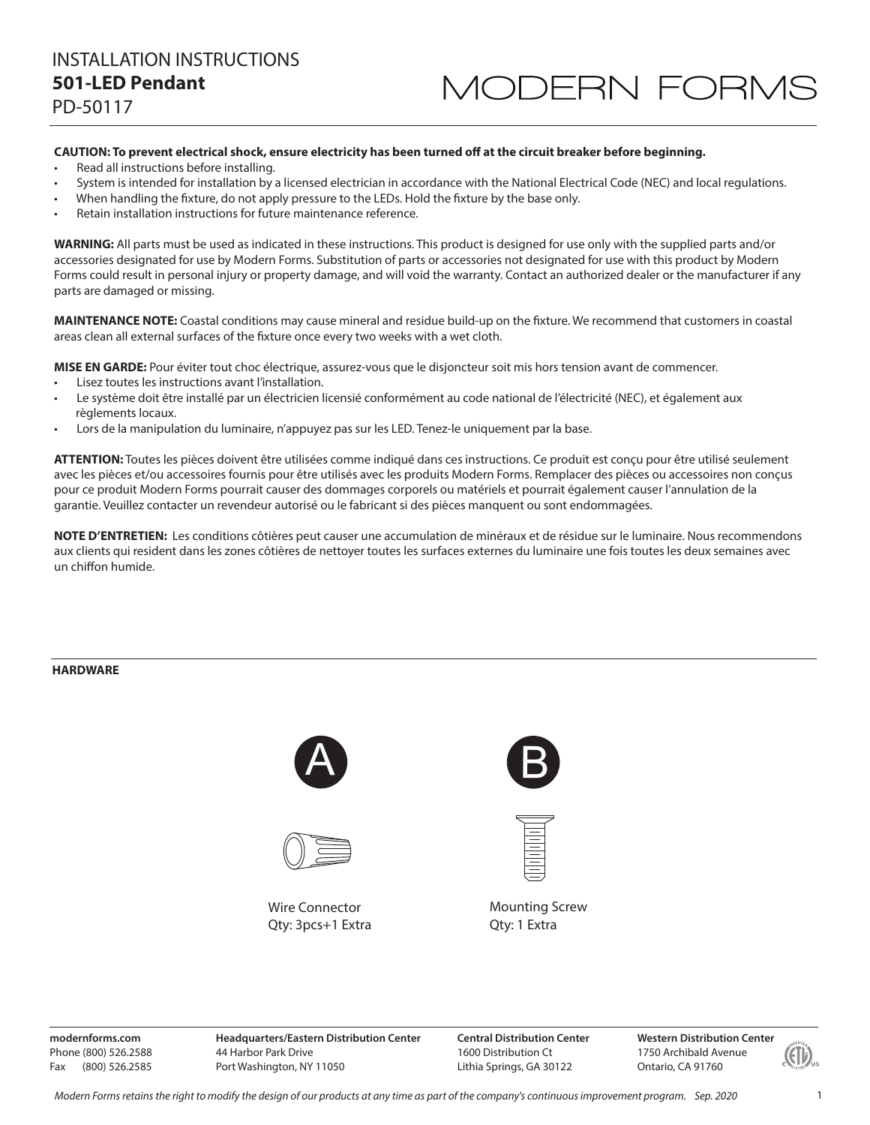#### CAUTION: To prevent electrical shock, ensure electricity has been turned off at the circuit breaker before beginning.

- Read all instructions before installing.
- · System is intended for installation by a licensed electrician in accordance with the National Electrical Code (NEC) and local regulations.
- When handling the fixture, do not apply pressure to the LEDs. Hold the fixture by the base only.
- · Retain installation instructions for future maintenance reference.

WARNING: All parts must be used as indicated in these instructions. This product is designed for use only with the supplied parts and/or accessories designated for use by Modern Forms. Substitution of parts or accessories not designated for use with this product by Modern Forms could result in personal injury or property damage, and will void the warranty. Contact an authorized dealer or the manufacturer if any parts are damaged or missing.

MAINTENANCE NOTE: Coastal conditions may cause mineral and residue build-up on the fixture. We recommend that customers in coastal areas clean all external surfaces of the fixture once every two weeks with a wet cloth.

MISE EN GARDE: Pour éviter tout choc électrique, assurez-vous que le disjoncteur soit mis hors tension avant de commencer.

- Lisez toutes les instructions avant l'installation.
- Le système doit être installé par un électricien licensié conformément au code national de l'électricité (NEC), et également aux règlements locaux.
- Lors de la manipulation du luminaire, n'appuyez pas sur les LED. Tenez-le uniquement par la base.

ATTENTION: Toutes les pièces doivent être utilisées comme indiqué dans ces instructions. Ce produit est conçu pour être utilisé seulement avec les pièces et/ou accessoires fournis pour être utilisés avec les produits Modern Forms. Remplacer des pièces ou accessoires non conçus pour ce produit Modern Forms pourrait causer des dommages corporels ou matériels et pourrait également causer l'annulation de la garantie. Veuillez contacter un revendeur autorisé ou le fabricant si des pièces manquent ou sont endommagées.

NOTE D'ENTRETIEN: Les conditions côtières peut causer une accumulation de minéraux et de résidue sur le luminaire. Nous recommendons aux clients qui resident dans les zones côtières de nettoyer toutes les surfaces externes du luminaire une fois toutes les deux semaines avec un chiffon humide.

#### **HARDWARE**



Wire Connector Qty: 3pcs+1 Extra





**Mounting Screw** Qty: 1 Extra

modernforms.com Phone (800) 526.2588 Fax (800) 526.2585

**Headquarters/Eastern Distribution Center** 44 Harbor Park Drive Port Washington, NY 11050

**Central Distribution Center** 1600 Distribution Ct Lithia Springs, GA 30122

**Western Distribution Center** 1750 Archibald Avenue Ontario, CA 91760